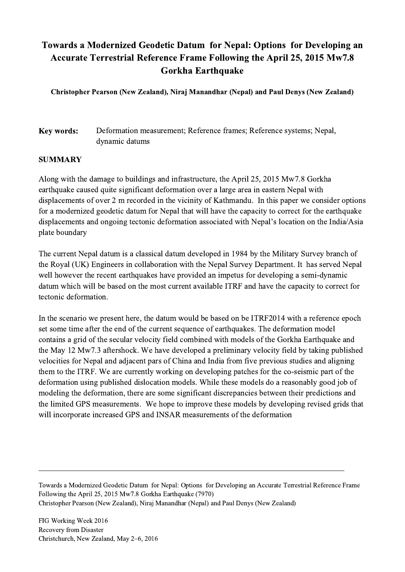## Towards a Modernized Geodetic Datum for Nepal: Options for Developing an Accurate Terrestrial Reference Frame Following the April 25, 2015 Mw7.8 Gorkha Earthquake

Christopher Pearson (New Zealand), Niraj Manandhar (Nepal) and Paul Denys (New Zealand)

Key words: Deformation measurement; Reference frames; Reference systems; Nepal, dynamic datums

## **SUMMARY**

Along with the damage to buildings and infrastructure, the April 25, 2015 Mw7.8 Gorkha earthquake caused quite significant deformation over a large area in eastern Nepal with displacements of over 2 m recorded in the vicinity of Kathmandu. In this paper we consider options for a modernized geodetic datum for Nepal that will have the capacity to correct for the earthquake displacements and ongoing tectonic deformation associated with Nepal's location on the India/Asia plate boundary

The current Nepal datum is a classical datum developed in 1984 by the Military Survey branch of the Royal (UK) Engineers in collaboration with the Nepal Survey Department. It has served Nepal well however the recent earthquakes have provided an impetus for developing a semi-dynamic datum which will be based on the most current available ITRF and have the capacity to correct for tectonic deformation.

In the scenario we present here, the datum would be based on be ITRF2014 with a reference epoch set some time after the end of the current sequence of earthquakes. The deformation model contains a grid of the secular velocity field combined with models of the Gorkha Earthquake and the May 12 Mw7.3 aftershock. We have developed a preliminary velocity field by taking published velocities for Nepal and adjacent pars of China and India from five previous studies and aligning them to the ITRF. We are currently working on developing patches for the co-seismic part of the deformation using published dislocation models. While these models do a reasonably good job of modeling the deformation, there are some significant discrepancies between their predictions and the limited GPS measurements. We hope to improve these models by developing revised grids that will incorporate increased GPS and INSAR measurements of the deformation

Towards a Modernized Geodetic Datum for Nepal: Options for Developing an Accurate Terrestrial Reference Frame Following the April 25, 2015 Mw7.8 Gorkha Earthquake (7970) Christopher Pearson (New Zealand), Niraj Manandhar (Nepal) and Paul Denys (New Zealand)

 $\mathcal{L}_\mathcal{L} = \{ \mathcal{L}_\mathcal{L} = \{ \mathcal{L}_\mathcal{L} = \{ \mathcal{L}_\mathcal{L} = \{ \mathcal{L}_\mathcal{L} = \{ \mathcal{L}_\mathcal{L} = \{ \mathcal{L}_\mathcal{L} = \{ \mathcal{L}_\mathcal{L} = \{ \mathcal{L}_\mathcal{L} = \{ \mathcal{L}_\mathcal{L} = \{ \mathcal{L}_\mathcal{L} = \{ \mathcal{L}_\mathcal{L} = \{ \mathcal{L}_\mathcal{L} = \{ \mathcal{L}_\mathcal{L} = \{ \mathcal{L}_\mathcal{$ 

FIG Working Week 2016 Recovery from Disaster Christchurch, New Zealand, May 2–6, 2016